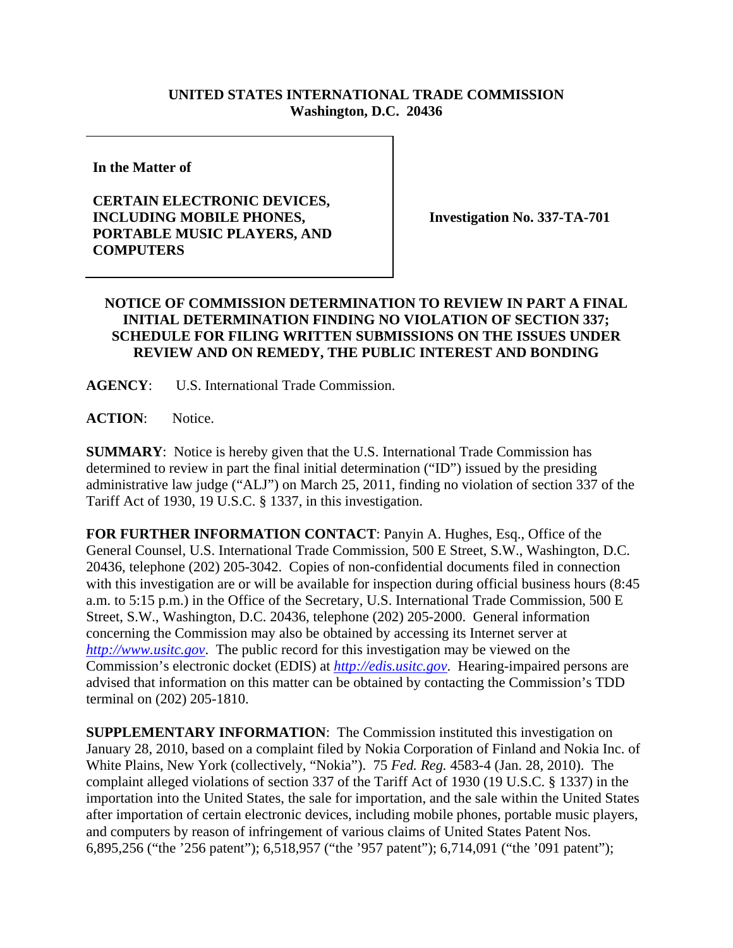## **UNITED STATES INTERNATIONAL TRADE COMMISSION Washington, D.C. 20436**

**In the Matter of** 

## **CERTAIN ELECTRONIC DEVICES, INCLUDING MOBILE PHONES, PORTABLE MUSIC PLAYERS, AND COMPUTERS**

**Investigation No. 337-TA-701** 

## **NOTICE OF COMMISSION DETERMINATION TO REVIEW IN PART A FINAL INITIAL DETERMINATION FINDING NO VIOLATION OF SECTION 337; SCHEDULE FOR FILING WRITTEN SUBMISSIONS ON THE ISSUES UNDER REVIEW AND ON REMEDY, THE PUBLIC INTEREST AND BONDING**

**AGENCY**: U.S. International Trade Commission.

ACTION: Notice.

**SUMMARY**: Notice is hereby given that the U.S. International Trade Commission has determined to review in part the final initial determination ("ID") issued by the presiding administrative law judge ("ALJ") on March 25, 2011, finding no violation of section 337 of the Tariff Act of 1930, 19 U.S.C. § 1337, in this investigation.

**FOR FURTHER INFORMATION CONTACT**: Panyin A. Hughes, Esq., Office of the General Counsel, U.S. International Trade Commission, 500 E Street, S.W., Washington, D.C. 20436, telephone (202) 205-3042. Copies of non-confidential documents filed in connection with this investigation are or will be available for inspection during official business hours (8:45 a.m. to 5:15 p.m.) in the Office of the Secretary, U.S. International Trade Commission, 500 E Street, S.W., Washington, D.C. 20436, telephone (202) 205-2000. General information concerning the Commission may also be obtained by accessing its Internet server at *http://www.usitc.gov*. The public record for this investigation may be viewed on the Commission's electronic docket (EDIS) at *http://edis.usitc.gov*. Hearing-impaired persons are advised that information on this matter can be obtained by contacting the Commission's TDD terminal on (202) 205-1810.

**SUPPLEMENTARY INFORMATION:** The Commission instituted this investigation on January 28, 2010, based on a complaint filed by Nokia Corporation of Finland and Nokia Inc. of White Plains, New York (collectively, "Nokia"). 75 *Fed. Reg.* 4583-4 (Jan. 28, 2010). The complaint alleged violations of section 337 of the Tariff Act of 1930 (19 U.S.C. § 1337) in the importation into the United States, the sale for importation, and the sale within the United States after importation of certain electronic devices, including mobile phones, portable music players, and computers by reason of infringement of various claims of United States Patent Nos. 6,895,256 ("the '256 patent"); 6,518,957 ("the '957 patent"); 6,714,091 ("the '091 patent");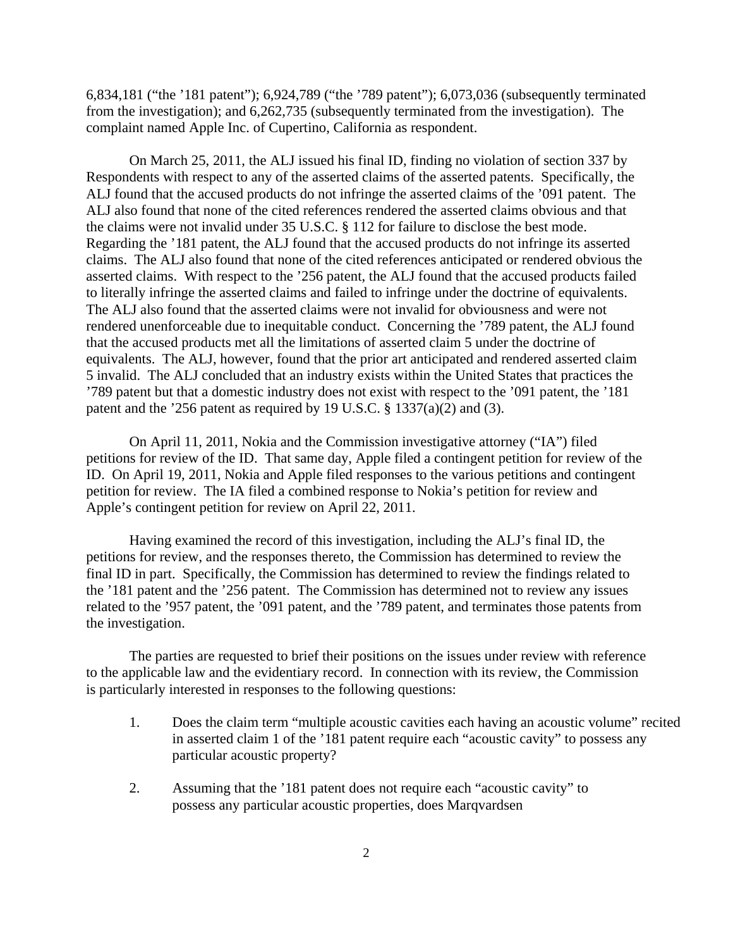6,834,181 ("the '181 patent"); 6,924,789 ("the '789 patent"); 6,073,036 (subsequently terminated from the investigation); and 6,262,735 (subsequently terminated from the investigation). The complaint named Apple Inc. of Cupertino, California as respondent.

 On March 25, 2011, the ALJ issued his final ID, finding no violation of section 337 by Respondents with respect to any of the asserted claims of the asserted patents. Specifically, the ALJ found that the accused products do not infringe the asserted claims of the '091 patent. The ALJ also found that none of the cited references rendered the asserted claims obvious and that the claims were not invalid under 35 U.S.C. § 112 for failure to disclose the best mode. Regarding the '181 patent, the ALJ found that the accused products do not infringe its asserted claims. The ALJ also found that none of the cited references anticipated or rendered obvious the asserted claims. With respect to the '256 patent, the ALJ found that the accused products failed to literally infringe the asserted claims and failed to infringe under the doctrine of equivalents. The ALJ also found that the asserted claims were not invalid for obviousness and were not rendered unenforceable due to inequitable conduct. Concerning the '789 patent, the ALJ found that the accused products met all the limitations of asserted claim 5 under the doctrine of equivalents. The ALJ, however, found that the prior art anticipated and rendered asserted claim 5 invalid. The ALJ concluded that an industry exists within the United States that practices the '789 patent but that a domestic industry does not exist with respect to the '091 patent, the '181 patent and the '256 patent as required by 19 U.S.C. § 1337(a)(2) and (3).

 On April 11, 2011, Nokia and the Commission investigative attorney ("IA") filed petitions for review of the ID. That same day, Apple filed a contingent petition for review of the ID. On April 19, 2011, Nokia and Apple filed responses to the various petitions and contingent petition for review. The IA filed a combined response to Nokia's petition for review and Apple's contingent petition for review on April 22, 2011.

 Having examined the record of this investigation, including the ALJ's final ID, the petitions for review, and the responses thereto, the Commission has determined to review the final ID in part. Specifically, the Commission has determined to review the findings related to the '181 patent and the '256 patent. The Commission has determined not to review any issues related to the '957 patent, the '091 patent, and the '789 patent, and terminates those patents from the investigation.

 The parties are requested to brief their positions on the issues under review with reference to the applicable law and the evidentiary record. In connection with its review, the Commission is particularly interested in responses to the following questions:

- 1. Does the claim term "multiple acoustic cavities each having an acoustic volume" recited in asserted claim 1 of the '181 patent require each "acoustic cavity" to possess any particular acoustic property?
- 2. Assuming that the '181 patent does not require each "acoustic cavity" to possess any particular acoustic properties, does Marqvardsen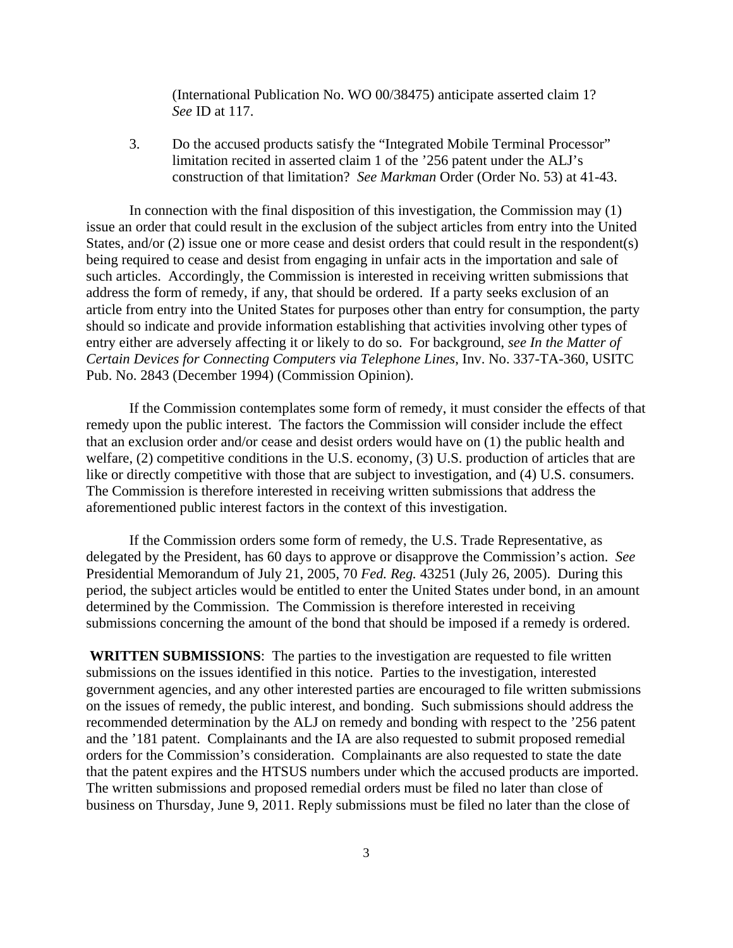(International Publication No. WO 00/38475) anticipate asserted claim 1? *See* ID at 117.

 3. Do the accused products satisfy the "Integrated Mobile Terminal Processor" limitation recited in asserted claim 1 of the '256 patent under the ALJ's construction of that limitation? *See Markman* Order (Order No. 53) at 41-43.

 In connection with the final disposition of this investigation, the Commission may (1) issue an order that could result in the exclusion of the subject articles from entry into the United States, and/or (2) issue one or more cease and desist orders that could result in the respondent(s) being required to cease and desist from engaging in unfair acts in the importation and sale of such articles. Accordingly, the Commission is interested in receiving written submissions that address the form of remedy, if any, that should be ordered. If a party seeks exclusion of an article from entry into the United States for purposes other than entry for consumption, the party should so indicate and provide information establishing that activities involving other types of entry either are adversely affecting it or likely to do so. For background, *see In the Matter of Certain Devices for Connecting Computers via Telephone Lines*, Inv. No. 337-TA-360, USITC Pub. No. 2843 (December 1994) (Commission Opinion).

 If the Commission contemplates some form of remedy, it must consider the effects of that remedy upon the public interest. The factors the Commission will consider include the effect that an exclusion order and/or cease and desist orders would have on (1) the public health and welfare, (2) competitive conditions in the U.S. economy, (3) U.S. production of articles that are like or directly competitive with those that are subject to investigation, and (4) U.S. consumers. The Commission is therefore interested in receiving written submissions that address the aforementioned public interest factors in the context of this investigation.

 If the Commission orders some form of remedy, the U.S. Trade Representative, as delegated by the President, has 60 days to approve or disapprove the Commission's action. *See*  Presidential Memorandum of July 21, 2005, 70 *Fed. Reg.* 43251 (July 26, 2005). During this period, the subject articles would be entitled to enter the United States under bond, in an amount determined by the Commission. The Commission is therefore interested in receiving submissions concerning the amount of the bond that should be imposed if a remedy is ordered.

**WRITTEN SUBMISSIONS**:The parties to the investigation are requested to file written submissions on the issues identified in this notice. Parties to the investigation, interested government agencies, and any other interested parties are encouraged to file written submissions on the issues of remedy, the public interest, and bonding. Such submissions should address the recommended determination by the ALJ on remedy and bonding with respect to the '256 patent and the '181 patent. Complainants and the IA are also requested to submit proposed remedial orders for the Commission's consideration. Complainants are also requested to state the date that the patent expires and the HTSUS numbers under which the accused products are imported. The written submissions and proposed remedial orders must be filed no later than close of business on Thursday, June 9, 2011. Reply submissions must be filed no later than the close of